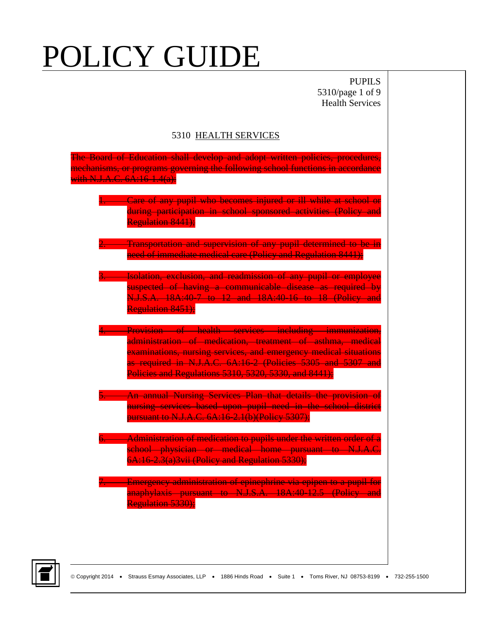PUPILS 5310/page 1 of 9 Health Services

#### 5310 HEALTH SERVICES

| The Board of Education shall develop and adopt written policies, procedures,<br>mechanisms, or programs governing the following school functions in accordance<br>with N.J.A.C. 6A:16-1.4(a):                                                                                                                  |
|----------------------------------------------------------------------------------------------------------------------------------------------------------------------------------------------------------------------------------------------------------------------------------------------------------------|
| . Care of any pupil who becomes injured or ill while at school or<br>during participation in school sponsored activities (Policy and<br><b>Regulation 8441):</b>                                                                                                                                               |
| . Transportation and supervision of any pupil determined to be in<br>need of immediate medical care (Policy and Regulation 8441);                                                                                                                                                                              |
| Isolation, exclusion, and readmission of any pupil or employee<br>$\frac{3}{2}$<br>suspected of having a communicable disease as required by<br>N.J.S.A. 18A:40-7 to 12 and 18A:40-16 to 18 (Policy and<br>Regulation 8451);                                                                                   |
| Provision of health services including immunization,<br>administration of medication, treatment of asthma, medical<br>examinations, nursing services, and emergency medical situations<br>as required in N.J.A.C. 6A:16-2 (Policies 5305 and 5307 and<br>Policies and Regulations 5310, 5320, 5330, and 8441); |
| An annual Nursing Services Plan that details the provision of<br>nursing services based upon pupil need in the school district<br>pursuant to N.J.A.C. 6A:16 2.1(b)(Policy 5307);                                                                                                                              |
| Administration of medication to pupils under the written order of a<br>school physician or medical home pursuant to N.J.A.C.<br>6A:16-2.3(a) 3vii (Policy and Regulation 5330);                                                                                                                                |
| Emergency administration of epinephrine via epipen to a pupil for<br>anaphylaxis pursuant to N.J.S.A. 18A:40-12.5 (Policy and<br>Regulation 5330);                                                                                                                                                             |

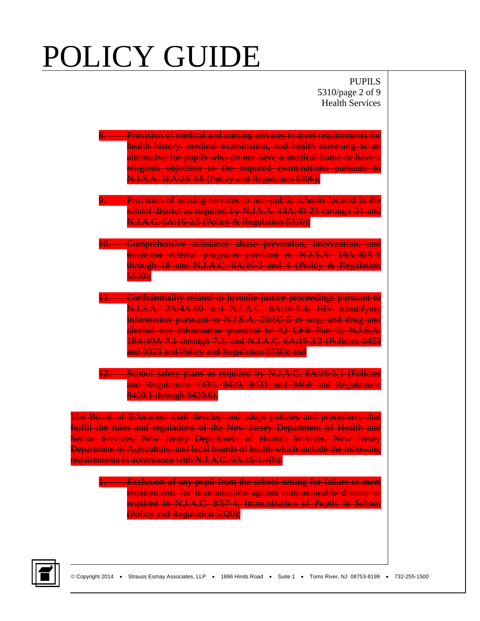PUPILS 5310/page 2 of 9 Health Services

| N.J.S.A. 18A:35-4.8 (Policy and Regulation 5306);                                                                                                                                                                                                                                                                                                                                  | 8. Provision of medical and nursing services to meet requirements for<br>health history, medical examination, and health screening as an<br>alternative for pupils who do not have a medical home or have a<br>religious objection to the required examinations pursuant to                                                             |
|------------------------------------------------------------------------------------------------------------------------------------------------------------------------------------------------------------------------------------------------------------------------------------------------------------------------------------------------------------------------------------|-----------------------------------------------------------------------------------------------------------------------------------------------------------------------------------------------------------------------------------------------------------------------------------------------------------------------------------------|
| N.J.A.C. 6A:16-2.5 (Policy & Regulation 5310);                                                                                                                                                                                                                                                                                                                                     | 9. Provision of nursing services to non-public schools located in the<br>school district as required by N.J.S.A. 18A:40 23 through 31 and                                                                                                                                                                                               |
| <del>5530);</del>                                                                                                                                                                                                                                                                                                                                                                  | 10. Comprehensive substance abuse prevention, intervention, and<br>treatment referral programs pursuant to N.J.S.A. 18A:40A-8<br>through 18 and N.J.A.C. 6A:16 3 and 4 (Policy & Regulation                                                                                                                                             |
| and 9323 and Policy and Regulation 5530); and                                                                                                                                                                                                                                                                                                                                      | 11. Confidentiality related to juvenile justice proceedings pursuant to<br>N.J.S.A. 2A:4A 60 and N.J.A.C. 6A:16-5.4, HIV identifying<br>information pursuant to N.J.S.A. 26:5C 5 et seq., and drug and<br>alcohol use information pursuant to 42 CFR Part 2, N.J.S.A.<br>18A:40A-7.1 through 7.2, and N.J.A.C. 6A:16-3.2 (Policies 8453 |
| 8420.1 through 8420.6).                                                                                                                                                                                                                                                                                                                                                            | 12. School safety plans as required by N.J.A.C. 6A:16-5.1 (Policies<br>and Regulations 7430, 8420, 8431 and 8468 and Regulations                                                                                                                                                                                                        |
| The Board of Education shall develop and adopt policies and procedures that<br>fulfill the rules and regulations of the New Jersey Department of Health and<br>Senior Services, New Jersey Department of Human Services, New Jersey<br>Department of Agriculture, and local boards of health which include the following<br>requirements in accordance with N.J.A.C. 6A:16-1.4(b): |                                                                                                                                                                                                                                                                                                                                         |
| (Policy and Regulation 5320);                                                                                                                                                                                                                                                                                                                                                      | 1. Exclusion of any pupil from the school setting for failure to meet<br>requirements for immunization against communicable disease as<br>required in N.J.A.C. 8:57-4, Immunization of Pupils in School                                                                                                                                 |

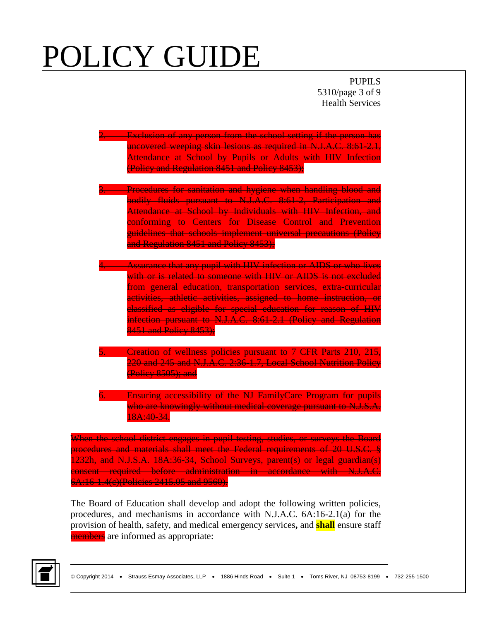PUPILS 5310/page 3 of 9 Health Services

| <b>Exclusion of any person from the school setting if the person has</b> |
|--------------------------------------------------------------------------|
| uncovered weeping skin lesions as required in N.J.A.C. 8:61 2.1.         |
| Attendance at School by Pupils or Adults with HIV Infection              |
| (Policy and Regulation 8451 and Policy 8453);                            |

- **Procedures for sanitation and hygiene when handling blood and** bodily fluids pursuant to N.J.A.C. 8:61-2, Participation and Attendance at School by Individuals with HIV Infection, and conforming to Centers for Disease Control and Prevention guidelines that schools implement universal precautions (Policy and Regulation 8451 and Policy 8453);
- **4. Assurance that any pupil with HIV infection or AIDS or who lives** with or is related to someone with HIV or AIDS is not excluded from general education, transportation services, extra-curricular activities, athletic activities, assigned to home instruction, or classified as eligible for special education for reason of HIV infection pursuant to N.J.A.C. 8:61-2.1 (Policy and Regulation 8451 and Policy 8453);
- **Example 1. Creation of wellness policies pursuant to 7 CFR Parts 210, 215,** 220 and 245 and N.J.A.C. 2:36-1.7, Local School Nutrition Policy (Policy 8505); and

**Ensuring accessibility of the NJ FamilyCare Program for pupils** who are knowingly without medical coverage pursuant to N.J.S.A. 18A:40-34.

When the school district engages in pupil testing, studies, or surveys the Board procedures and materials shall meet the Federal requirements of 20 U.S.C. § 1232h, and N.J.S.A. 18A:36-34, School Surveys, parent(s) or legal guardian(s) consent required before administration in accordance with N.J.A.C. 6A:16-1.4(c)(Policies 2415.05 and 9560).

The Board of Education shall develop and adopt the following written policies, procedures, and mechanisms in accordance with N.J.A.C. 6A:16-2.1(a) for the provision of health, safety, and medical emergency services**,** and **shall** ensure staff members are informed as appropriate:

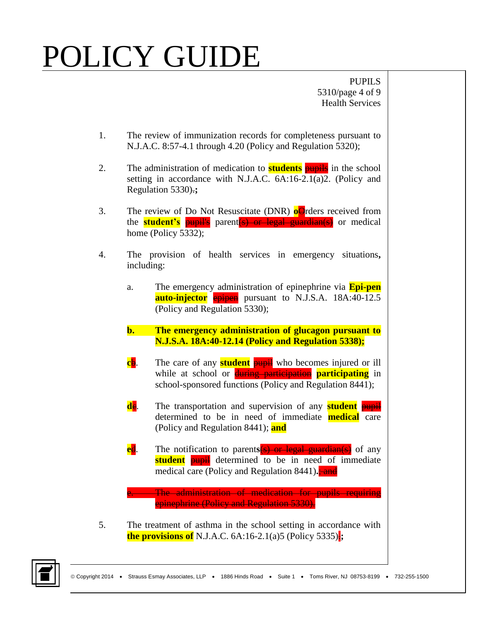PUPILS 5310/page 4 of 9 Health Services

- 1. The review of immunization records for completeness pursuant to N.J.A.C. 8:57-4.1 through 4.20 (Policy and Regulation 5320);
- 2. The administration of medication to **students** pupils in the school setting in accordance with N.J.A.C. 6A:16-2.1(a)2. (Policy and Regulation 5330).**;**
- 3. The review of Do Not Resuscitate (DNR) **o**Orders received from the **student's** pupil's parent(s) or legal guardian(s) or medical home (Policy 5332);
- 4. The provision of health services in emergency situations**,** including:
	- a. The emergency administration of epinephrine via **Epi-pen auto-injector** epipen pursuant to N.J.S.A. 18A:40-12.5 (Policy and Regulation 5330);
	- **b. The emergency administration of glucagon pursuant to N.J.S.A. 18A:40-12.14 (Policy and Regulation 5338);**
	- **c**b. The care of any **student pupil** who becomes injured or ill while at school or **during participation participating** in school-sponsored functions (Policy and Regulation 8441);
	- **de.** The transportation and supervision of any **student pupil** determined to be in need of immediate **medical** care (Policy and Regulation 8441); **and**
	- **e**d. The notification to parent**s**(s) or legal guardian(s) of any **student pupil** determined to be in need of immediate medical care (Policy and Regulation 8441).<sup>2</sup>

**E. The administration of medication for pupils requiring** epinephrine (Policy and Regulation 5330).

5. The treatment of asthma in the school setting in accordance with **the provisions of** N.J.A.C.  $6A:16-2.1(a)5$  (Policy 5335):

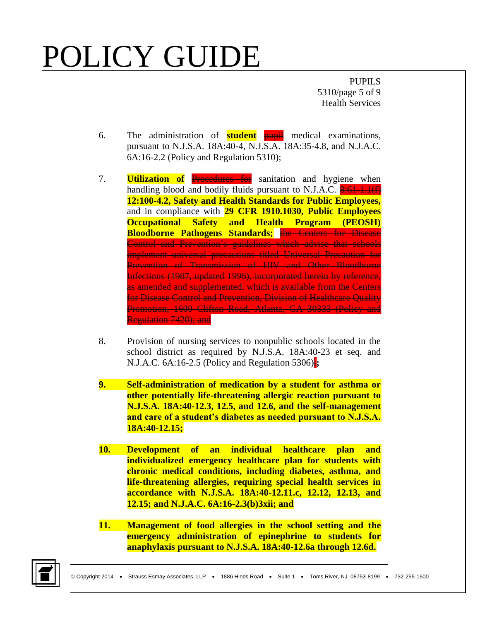PUPILS 5310/page 5 of 9 Health Services

- 6. The administration of **student** pupil medical examinations, pursuant to N.J.S.A. 18A:40-4, N.J.S.A. 18A:35-4.8, and N.J.A.C. 6A:16-2.2 (Policy and Regulation 5310);
- 7. **Utilization of** Procedures for sanitation and hygiene when handling blood and bodily fluids pursuant to N.J.A.C.  $\frac{8:61-1.1(f)}{2}$ **12:100-4.2, Safety and Health Standards for Public Employees,** and in compliance with **29 CFR 1910.1030, Public Employees Occupational Safety and Health Program (PEOSH) Bloodborne Pathogens Standards;** the Centers for Disease Control and Prevention's guidelines which advise that schools implement universal precautions titled Universal Precaution for Prevention of Transmission of HIV and Other Bloodborne Infections (1987, updated 1996), incorporated herein by reference, as amended and supplemented, which is available from the Centers for Disease Control and Prevention, Division of Healthcare Quality Promotion, 1600 Clifton Road, Atlanta, GA 30333 (Policy and Regulation 7420); and
- 8. Provision of nursing services to nonpublic schools located in the school district as required by N.J.S.A. 18A:40-23 et seq. and N.J.A.C. 6A:16-2.5 (Policy and Regulation 5306).**;**
- **9. Self-administration of medication by a student for asthma or other potentially life-threatening allergic reaction pursuant to N.J.S.A. 18A:40-12.3, 12.5, and 12.6, and the self-management and care of a student's diabetes as needed pursuant to N.J.S.A. 18A:40-12.15;**
- **10. Development of an individual healthcare plan and individualized emergency healthcare plan for students with chronic medical conditions, including diabetes, asthma, and life-threatening allergies, requiring special health services in accordance with N.J.S.A. 18A:40-12.11.c, 12.12, 12.13, and 12.15; and N.J.A.C. 6A:16-2.3(b)3xii; and**
- **11. Management of food allergies in the school setting and the emergency administration of epinephrine to students for anaphylaxis pursuant to N.J.S.A. 18A:40-12.6a through 12.6d.**

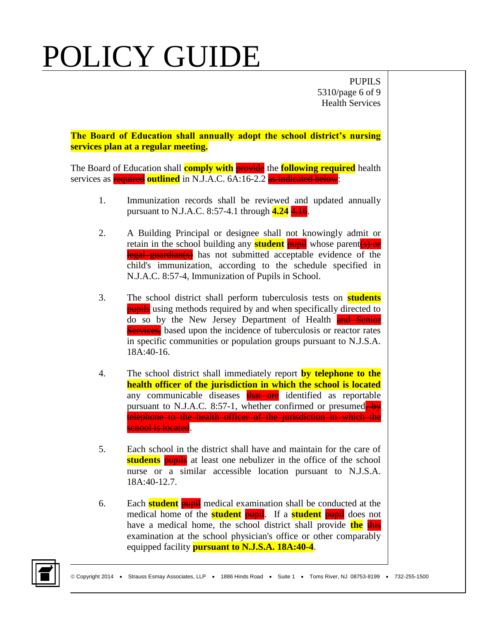PUPILS 5310/page 6 of 9 Health Services

**The Board of Education shall annually adopt the school district's nursing services plan at a regular meeting.**

The Board of Education shall **comply with** provide the **following required** health services as **required outlined** in N.J.A.C. 6A:16-2.2 as indicated below:

- 1. Immunization records shall be reviewed and updated annually pursuant to N.J.A.C. 8:57-4.1 through **4.24** 4.16.
- 2. A Building Principal or designee shall not knowingly admit or retain in the school building any **student** pupil whose parent (s) or legal guardian(s) has not submitted acceptable evidence of the child's immunization, according to the schedule specified in N.J.A.C. 8:57-4, Immunization of Pupils in School.
- 3. The school district shall perform tuberculosis tests on **students pupils** using methods required by and when specifically directed to do so by the New Jersey Department of Health and Senior **Services**, based upon the incidence of tuberculosis or reactor rates in specific communities or population groups pursuant to N.J.S.A. 18A:40-16.
- 4. The school district shall immediately report **by telephone to the health officer of the jurisdiction in which the school is located** any communicable diseases that are identified as reportable pursuant to N.J.A.C. 8:57-1, whether confirmed or presumed $\rightarrow$ telephone to the health officer of the jurisdiction in which the school is located.
- 5. Each school in the district shall have and maintain for the care of **students pupils** at least one nebulizer in the office of the school nurse or a similar accessible location pursuant to N.J.S.A. 18A:40-12.7.
- 6. Each **student** pupil medical examination shall be conducted at the medical home of the **student pupil**. If a **student pupil** does not have a medical home, the school district shall provide the this examination at the school physician's office or other comparably equipped facility **pursuant to N.J.S.A. 18A:40-4**.

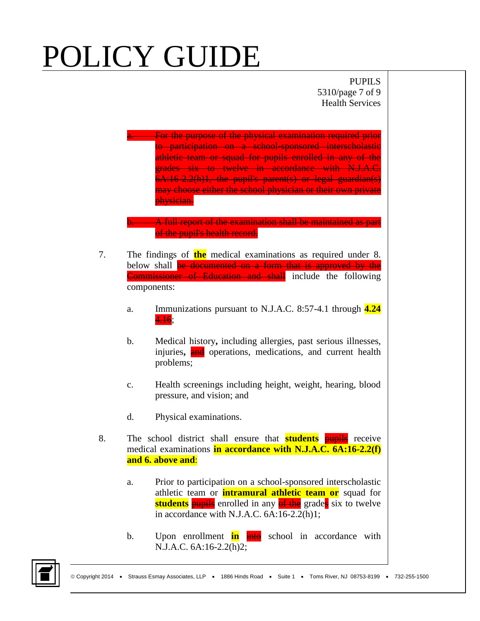PUPILS 5310/page 7 of 9 Health Services

**EXECUTE:** For the purpose of the physical examination required prior to participation on a school-sponsored interscholastic athletic team or squad for pupils enrolled in any of the grades six to twelve in accordance with N.J.A.C. 6A:16-2.2(h)1, the pupil's parent(s) or legal guardian(s) may choose either the school physician or their own private physician.

**b.** A full report of the examination shall be maintained as part of the pupil's health record.

- 7. The findings of **the** medical examinations as required under 8. below shall **be documented on a form that is approved by the Commissioner of Education and shall** include the following components:
	- a. Immunizations pursuant to N.J.A.C. 8:57-4.1 through **4.24** 4.16;
	- b. Medical history**,** including allergies, past serious illnesses, injuries, and operations, medications, and current health problems;
	- c. Health screenings including height, weight, hearing, blood pressure, and vision; and
	- d. Physical examinations.
- 8. The school district shall ensure that **students** pupils receive medical examinations **in accordance with N.J.A.C. 6A:16-2.2(f) and 6. above and**:
	- a. Prior to participation on a school-sponsored interscholastic athletic team or **intramural athletic team or** squad for **students pupils** enrolled in any of the grades six to twelve in accordance with N.J.A.C. 6A:16-2.2(h)1;
	- b. Upon enrollment **in**  $\frac{in}{10}$  school in accordance with N.J.A.C. 6A:16-2.2(h)2;

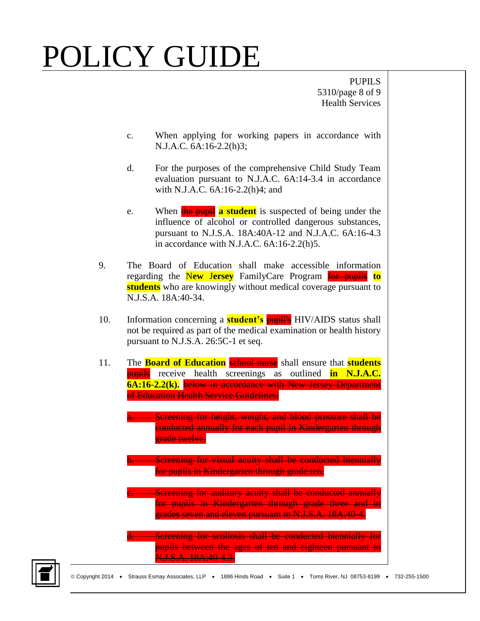PUPILS 5310/page 8 of 9 Health Services

- c. When applying for working papers in accordance with N.J.A.C. 6A:16-2.2(h)3;
- d. For the purposes of the comprehensive Child Study Team evaluation pursuant to N.J.A.C. 6A:14-3.4 in accordance with N.J.A.C. 6A:16-2.2(h)4; and
- e. When the pupil **a student** is suspected of being under the influence of alcohol or controlled dangerous substances, pursuant to N.J.S.A. 18A:40A-12 and N.J.A.C. 6A:16-4.3 in accordance with N.J.A.C. 6A:16-2.2(h)5.
- 9. The Board of Education shall make accessible information regarding the N**ew** J**ersey** FamilyCare Program for pupils **to students** who are knowingly without medical coverage pursuant to N.J.S.A. 18A:40-34.
- 10. Information concerning a **student's** pupil's HIV/AIDS status shall not be required as part of the medical examination or health history pursuant to N.J.S.A. 26:5C-1 et seq.
- 11. The **Board of Education** school nurse shall ensure that **students** pupils receive health screenings as outlined **in N.J.A.C. 6A:16-2.2(k).** below in accordance with New Jersey Department of Education Health Service Guidelines:

**A.** Screening for height, weight, and blood pressure shall be conducted annually for each pupil in Kindergarten through erade twelve.

**Screening for visual acuity shall be conducted biennially** for pupils in Kindergarten through grade ten.

**C.** Screening for auditory acuity shall be conducted annually for pupils in Kindergarten through grade three and in grade**s** seven and eleven pursuant to N.J.S.A. 18A:40-4.

d. Screening for scoliosis shall be conducted biennially for pupils between the ages of ten and eighteen pursuant to N.J.S.A. 18A:40-4.3.